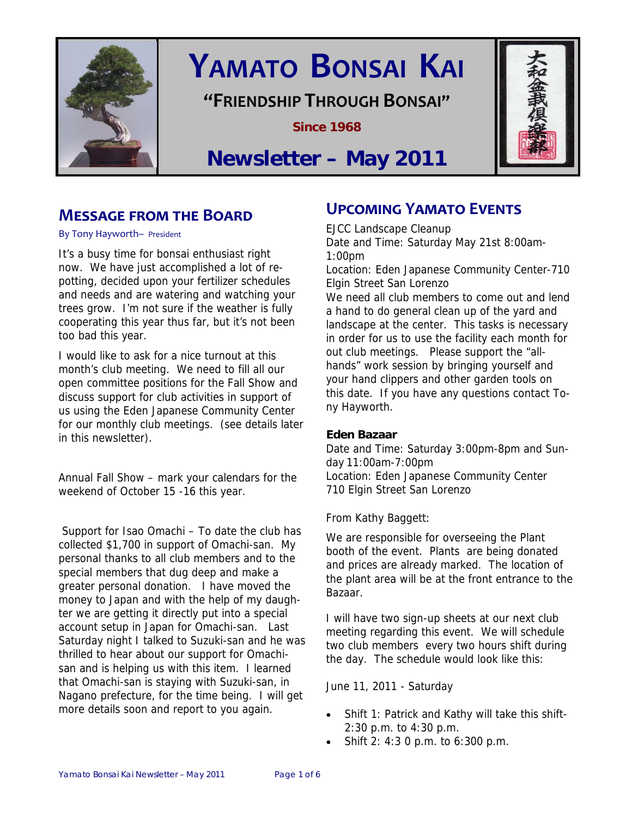

# **YAMATO BONSAI KAI**

## **"FRIENDSHIP THROUGH BONSAI"**

**Since 1968** 



## **Newsletter – May 2011**

## **MESSAGE FROM THE BOARD**

By Tony Hayworth– President

It's a busy time for bonsai enthusiast right now. We have just accomplished a lot of repotting, decided upon your fertilizer schedules and needs and are watering and watching your trees grow. I'm not sure if the weather is fully cooperating this year thus far, but it's not been too bad this year.

I would like to ask for a nice turnout at this month's club meeting. We need to fill all our open committee positions for the Fall Show and discuss support for club activities in support of us using the Eden Japanese Community Center for our monthly club meetings. (see details later in this newsletter).

Annual Fall Show – mark your calendars for the weekend of October 15 -16 this year.

 Support for Isao Omachi – To date the club has collected \$1,700 in support of Omachi-san. My personal thanks to all club members and to the special members that dug deep and make a greater personal donation. I have moved the money to Japan and with the help of my daughter we are getting it directly put into a special account setup in Japan for Omachi-san. Last Saturday night I talked to Suzuki-san and he was thrilled to hear about our support for Omachisan and is helping us with this item. I learned that Omachi-san is staying with Suzuki-san, in Nagano prefecture, for the time being. I will get more details soon and report to you again.

## **UPCOMING YAMATO EVENTS**

EJCC Landscape Cleanup Date and Time: Saturday May 21st 8:00am-1:00pm Location: Eden Japanese Community Center-710 Elgin Street San Lorenzo We need all club members to come out and lend a hand to do general clean up of the yard and landscape at the center. This tasks is necessary in order for us to use the facility each month for out club meetings. Please support the "allhands" work session by bringing yourself and your hand clippers and other garden tools on this date. If you have any questions contact Tony Hayworth.

#### **Eden Bazaar**

Date and Time: Saturday 3:00pm-8pm and Sunday 11:00am-7:00pm Location: Eden Japanese Community Center 710 Elgin Street San Lorenzo

From Kathy Baggett:

We are responsible for overseeing the Plant booth of the event. Plants are being donated and prices are already marked. The location of the plant area will be at the front entrance to the Bazaar.

I will have two sign-up sheets at our next club meeting regarding this event. We will schedule two club members every two hours shift during the day. The schedule would look like this:

June 11, 2011 - Saturday

- Shift 1: Patrick and Kathy will take this shift-2:30 p.m. to 4:30 p.m.
- Shift 2: 4:3 0 p.m. to 6:300 p.m.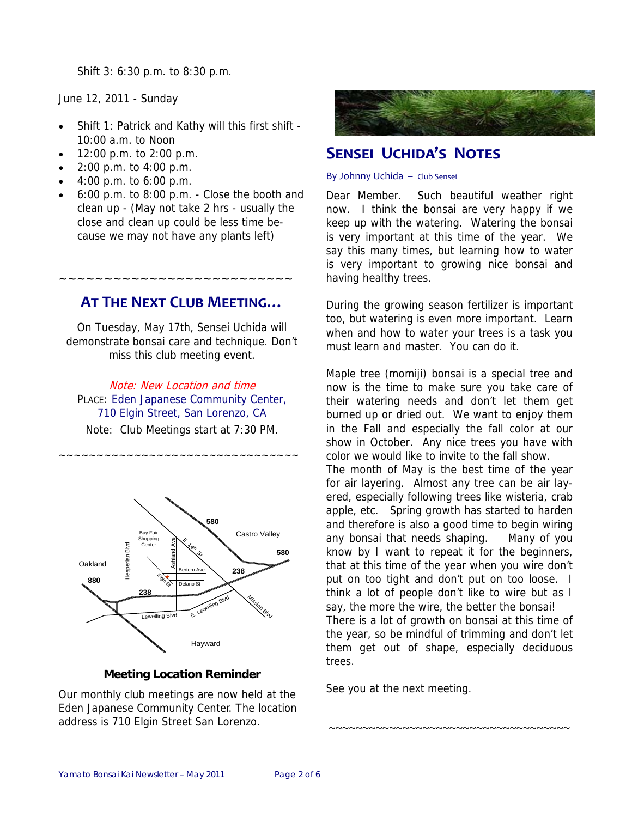Shift 3: 6:30 p.m. to 8:30 p.m.

June 12, 2011 - Sunday

- Shift 1: Patrick and Kathy will this first shift 10:00 a.m. to Noon
- 12:00 p.m. to 2:00 p.m.
- $2:00$  p.m. to  $4:00$  p.m.
- $4:00 \text{ p.m.}$  to 6:00 p.m.
- 6:00 p.m. to 8:00 p.m. Close the booth and clean up - (May not take 2 hrs - usually the close and clean up could be less time because we may not have any plants left)

## **AT THE NEXT CLUB MEETING…**

~~~~~~~~~~~~~~~~~~~~~~~~~~

On Tuesday, May 17th, Sensei Uchida will demonstrate bonsai care and technique. Don't miss this club meeting event.

Note: New Location and time PLACE: Eden Japanese Community Center, 710 Elgin Street, San Lorenzo, CA

Note: Club Meetings start at 7:30 PM.

~~~~~~~~~~~~~~~~~~~~~~~~~~~~~~~~



#### **Meeting Location Reminder**

Our monthly club meetings are now held at the Eden Japanese Community Center. The location address is 710 Elgin Street San Lorenzo.



## **SENSEI UCHIDA'S NOTES**

#### By Johnny Uchida – Club Sensei

Dear Member. Such beautiful weather right now. I think the bonsai are very happy if we keep up with the watering. Watering the bonsai is very important at this time of the year. We say this many times, but learning how to water is very important to growing nice bonsai and having healthy trees.

During the growing season fertilizer is important too, but watering is even more important. Learn when and how to water your trees is a task you must learn and master. You can do it.

Maple tree (momiji) bonsai is a special tree and now is the time to make sure you take care of their watering needs and don't let them get burned up or dried out. We want to enjoy them in the Fall and especially the fall color at our show in October. Any nice trees you have with color we would like to invite to the fall show. The month of May is the best time of the year for air layering. Almost any tree can be air layered, especially following trees like wisteria, crab apple, etc. Spring growth has started to harden and therefore is also a good time to begin wiring any bonsai that needs shaping. Many of you know by I want to repeat it for the beginners, that at this time of the year when you wire don't put on too tight and don't put on too loose. I think a lot of people don't like to wire but as I say, the more the wire, the better the bonsai! There is a lot of growth on bonsai at this time of the year, so be mindful of trimming and don't let them get out of shape, especially deciduous trees.

~~~~~~~~~~~~~~~~~~~~~~~~~~~~~~~~~~~~

See you at the next meeting.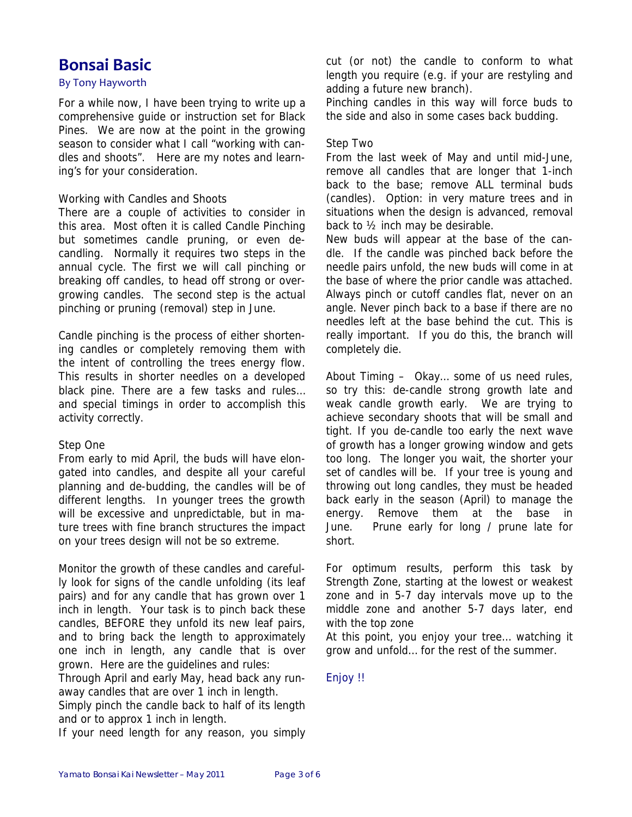## **Bonsai Basic**

#### By Tony Hayworth

For a while now, I have been trying to write up a comprehensive guide or instruction set for Black Pines. We are now at the point in the growing season to consider what I call "working with candles and shoots". Here are my notes and learning's for your consideration.

#### Working with Candles and Shoots

There are a couple of activities to consider in this area. Most often it is called Candle Pinching but sometimes candle pruning, or even decandling. Normally it requires two steps in the annual cycle. The first we will call pinching or breaking off candles, to head off strong or overgrowing candles. The second step is the actual pinching or pruning (removal) step in June.

Candle pinching is the process of either shortening candles or completely removing them with the intent of controlling the trees energy flow. This results in shorter needles on a developed black pine. There are a few tasks and rules… and special timings in order to accomplish this activity correctly.

#### Step One

From early to mid April, the buds will have elongated into candles, and despite all your careful planning and de-budding, the candles will be of different lengths. In younger trees the growth will be excessive and unpredictable, but in mature trees with fine branch structures the impact on your trees design will not be so extreme.

Monitor the growth of these candles and carefully look for signs of the candle unfolding (its leaf pairs) and for any candle that has grown over 1 inch in length. Your task is to pinch back these candles, BEFORE they unfold its new leaf pairs, and to bring back the length to approximately one inch in length, any candle that is over grown. Here are the guidelines and rules:

Through April and early May, head back any runaway candles that are over 1 inch in length.

Simply pinch the candle back to half of its length and or to approx 1 inch in length.

If your need length for any reason, you simply

cut (or not) the candle to conform to what length you require (e.g. if your are restyling and adding a future new branch).

Pinching candles in this way will force buds to the side and also in some cases back budding.

#### Step Two

From the last week of May and until mid-June, remove all candles that are longer that 1-inch back to the base; remove ALL terminal buds (candles). Option: in very mature trees and in situations when the design is advanced, removal back to ½ inch may be desirable.

New buds will appear at the base of the candle. If the candle was pinched back before the needle pairs unfold, the new buds will come in at the base of where the prior candle was attached. Always pinch or cutoff candles flat, never on an angle. Never pinch back to a base if there are no needles left at the base behind the cut. This is really important. If you do this, the branch will completely die.

About Timing – Okay… some of us need rules, so try this: de-candle strong growth late and weak candle growth early. We are trying to achieve secondary shoots that will be small and tight. If you de-candle too early the next wave of growth has a longer growing window and gets too long. The longer you wait, the shorter your set of candles will be. If your tree is young and throwing out long candles, they must be headed back early in the season (April) to manage the energy. Remove them at the base in June. Prune early for long / prune late for short.

For optimum results, perform this task by Strength Zone, starting at the lowest or weakest zone and in 5-7 day intervals move up to the middle zone and another 5-7 days later, end with the top zone

At this point, you enjoy your tree… watching it grow and unfold… for the rest of the summer.

Enjoy !!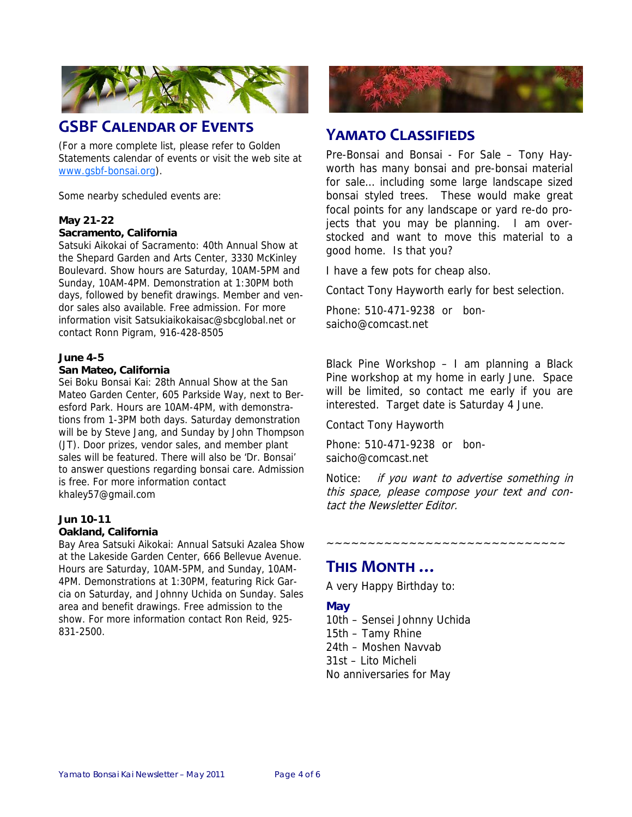

## **GSBF CALENDAR OF EVENTS**

(For a more complete list, please refer to Golden Statements calendar of events or visit the web site at www.gsbf-bonsai.org).

Some nearby scheduled events are:

#### **May 21-22 Sacramento, California**

Satsuki Aikokai of Sacramento: 40th Annual Show at the Shepard Garden and Arts Center, 3330 McKinley Boulevard. Show hours are Saturday, 10AM-5PM and Sunday, 10AM-4PM. Demonstration at 1:30PM both days, followed by benefit drawings. Member and vendor sales also available. Free admission. For more information visit Satsukiaikokaisac@sbcglobal.net or contact Ronn Pigram, 916-428-8505

#### **June 4-5**

#### **San Mateo, California**

Sei Boku Bonsai Kai: 28th Annual Show at the San Mateo Garden Center, 605 Parkside Way, next to Beresford Park. Hours are 10AM-4PM, with demonstrations from 1-3PM both days. Saturday demonstration will be by Steve Jang, and Sunday by John Thompson (JT). Door prizes, vendor sales, and member plant sales will be featured. There will also be 'Dr. Bonsai' to answer questions regarding bonsai care. Admission is free. For more information contact khaley57@gmail.com

## **Jun 10-11**

#### **Oakland, California**

Bay Area Satsuki Aikokai: Annual Satsuki Azalea Show at the Lakeside Garden Center, 666 Bellevue Avenue. Hours are Saturday, 10AM-5PM, and Sunday, 10AM-4PM. Demonstrations at 1:30PM, featuring Rick Garcia on Saturday, and Johnny Uchida on Sunday. Sales area and benefit drawings. Free admission to the show. For more information contact Ron Reid, 925- 831-2500.



## **YAMATO CLASSIFIEDS**

Pre-Bonsai and Bonsai - For Sale – Tony Hayworth has many bonsai and pre-bonsai material for sale… including some large landscape sized bonsai styled trees. These would make great focal points for any landscape or yard re-do projects that you may be planning. I am overstocked and want to move this material to a good home. Is that you?

I have a few pots for cheap also.

Contact Tony Hayworth early for best selection.

Phone: 510-471-9238 or bonsaicho@comcast.net

Black Pine Workshop – I am planning a Black Pine workshop at my home in early June. Space will be limited, so contact me early if you are interested. Target date is Saturday 4 June.

Contact Tony Hayworth

Phone: 510-471-9238 or bonsaicho@comcast.net

Notice: if you want to advertise something in this space, please compose your text and contact the Newsletter Editor.

~~~~~~~~~~~~~~~~~~~~~~~~~~~~~

## **THIS MONTH …**

A very Happy Birthday to:

#### **May**

10th – Sensei Johnny Uchida 15th – Tamy Rhine 24th – Moshen Navvab 31st – Lito Micheli No anniversaries for May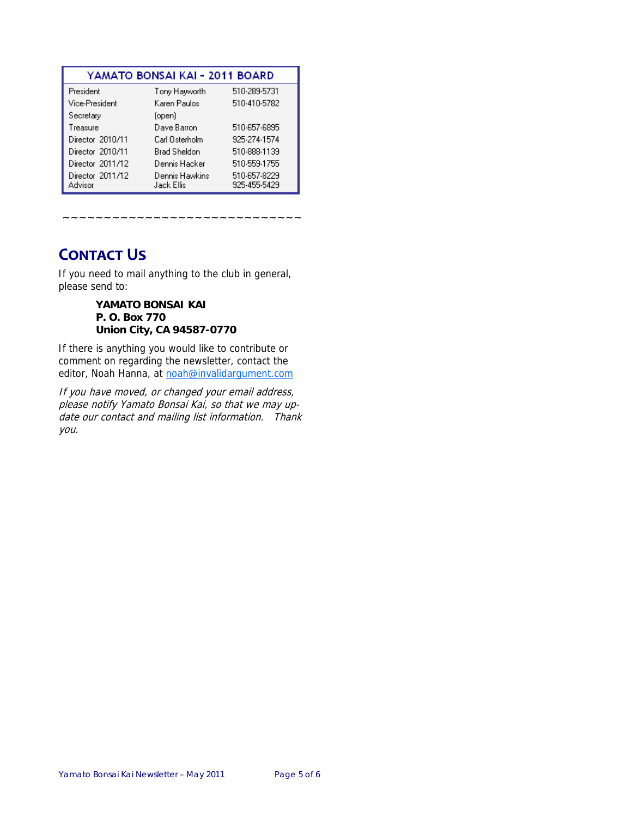| YAMATO BONSAI KAI - 2011 BOARD |                              |                              |
|--------------------------------|------------------------------|------------------------------|
| President                      | Tony Hayworth                | 510-289-5731                 |
| Vice-President                 | Karen Paulos                 | 510-410-5782                 |
| Secretary                      | (open)                       |                              |
| Treasure                       | Dave Barron                  | 510-657-6895                 |
| Director 2010/11               | Carl Osterholm               | 925-274-1574                 |
| Director 2010/11               | <b>Brad Sheldon</b>          | 510-888-1139                 |
| Director 2011/12               | Dennis Hacker                | 510-559-1755                 |
| Director 2011/12<br>Advisor    | Dennis Hawkins<br>Jack Ellis | 510-657-8229<br>925-455-5429 |

## **CONTACT US**

If you need to mail anything to the club in general, please send to:

~~~~~~~~~~~~~~~~~~~~

**YAMATO BONSAI KAI P. O. Box 770 Union City, CA 94587-0770** 

If there is anything you would like to contribute or comment on regarding the newsletter, contact the editor, Noah Hanna, at noah@invalidargument.com

If you have moved, or changed your email address, please notify Yamato Bonsai Kai, so that we may update our contact and mailing list information. Thank you.